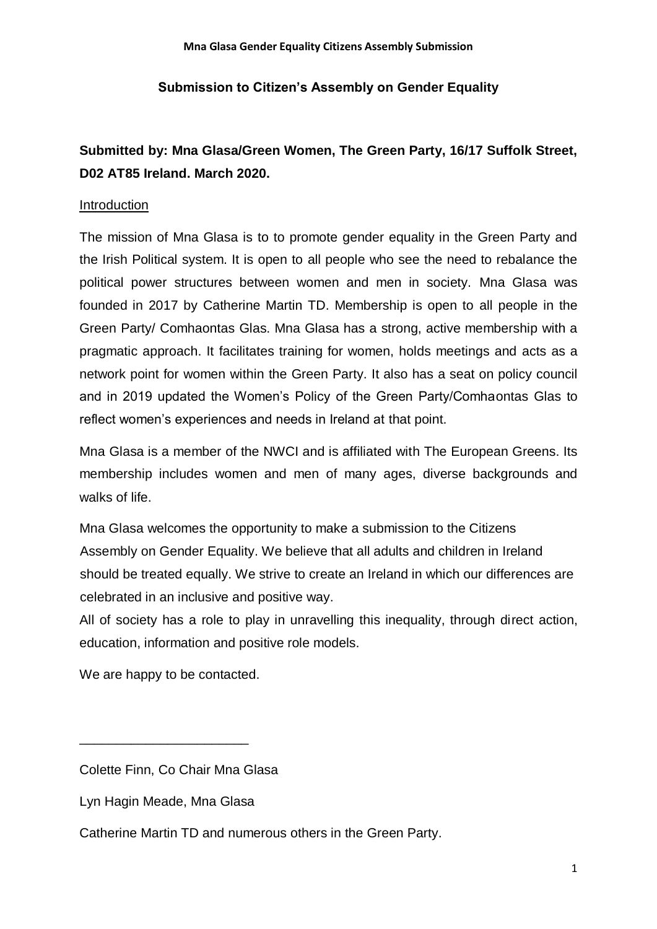## **Submission to Citizen's Assembly on Gender Equality**

# **Submitted by: Mna Glasa/Green Women, The Green Party, 16/17 Suffolk Street, D02 AT85 Ireland. March 2020.**

#### Introduction

The mission of Mna Glasa is to to promote gender equality in the Green Party and the Irish Political system. It is open to all people who see the need to rebalance the political power structures between women and men in society. Mna Glasa was founded in 2017 by Catherine Martin TD. Membership is open to all people in the Green Party/ Comhaontas Glas. Mna Glasa has a strong, active membership with a pragmatic approach. It facilitates training for women, holds meetings and acts as a network point for women within the Green Party. It also has a seat on policy council and in 2019 updated the Women's Policy of the Green Party/Comhaontas Glas to reflect women's experiences and needs in Ireland at that point.

Mna Glasa is a member of the NWCI and is affiliated with The European Greens. Its membership includes women and men of many ages, diverse backgrounds and walks of life.

Mna Glasa welcomes the opportunity to make a submission to the Citizens Assembly on Gender Equality. We believe that all adults and children in Ireland should be treated equally. We strive to create an Ireland in which our differences are celebrated in an inclusive and positive way.

All of society has a role to play in unravelling this inequality, through direct action, education, information and positive role models.

We are happy to be contacted.

\_\_\_\_\_\_\_\_\_\_\_\_\_\_\_\_\_\_\_\_\_\_\_

Catherine Martin TD and numerous others in the Green Party.

Colette Finn, Co Chair Mna Glasa

Lyn Hagin Meade, Mna Glasa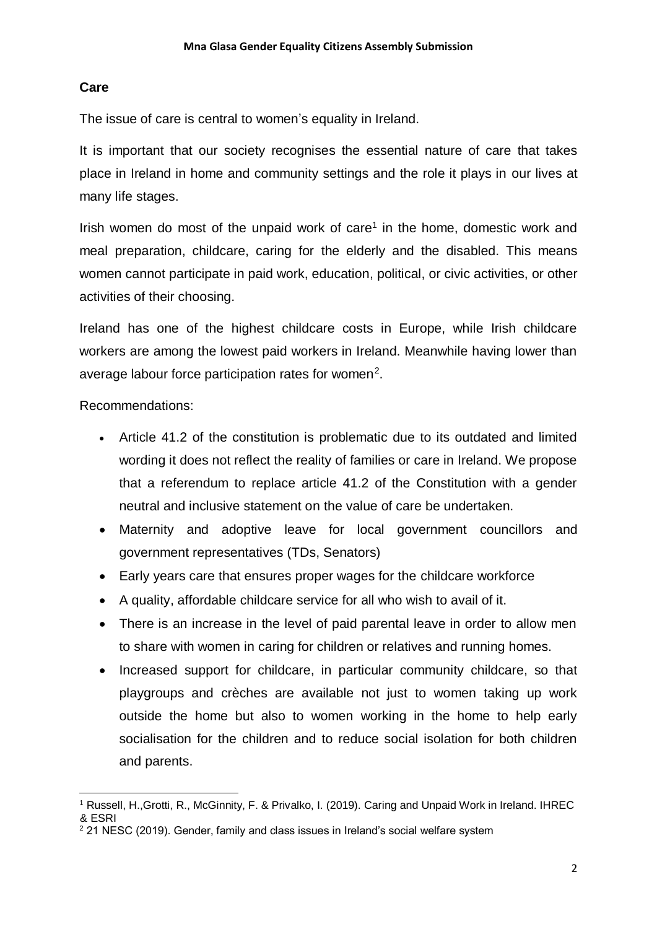## **Care**

The issue of care is central to women's equality in Ireland.

It is important that our society recognises the essential nature of care that takes place in Ireland in home and community settings and the role it plays in our lives at many life stages.

Irish women do most of the unpaid work of care<sup>1</sup> in the home, domestic work and meal preparation, childcare, caring for the elderly and the disabled. This means women cannot participate in paid work, education, political, or civic activities, or other activities of their choosing.

Ireland has one of the highest childcare costs in Europe, while Irish childcare workers are among the lowest paid workers in Ireland. Meanwhile having lower than average labour force participation rates for women<sup>2</sup>.

Recommendations:

- Article 41.2 of the constitution is problematic due to its outdated and limited wording it does not reflect the reality of families or care in Ireland. We propose that a referendum to replace article 41.2 of the Constitution with a gender neutral and inclusive statement on the value of care be undertaken.
- Maternity and adoptive leave for local government councillors and government representatives (TDs, Senators)
- Early years care that ensures proper wages for the childcare workforce
- A quality, affordable childcare service for all who wish to avail of it.
- There is an increase in the level of paid parental leave in order to allow men to share with women in caring for children or relatives and running homes.
- Increased support for childcare, in particular community childcare, so that playgroups and crèches are available not just to women taking up work outside the home but also to women working in the home to help early socialisation for the children and to reduce social isolation for both children and parents.

<sup>1</sup> <sup>1</sup> Russell, H.,Grotti, R., McGinnity, F. & Privalko, I. (2019). Caring and Unpaid Work in Ireland. IHREC & ESRI

 $2$  21 NESC (2019). Gender, family and class issues in Ireland's social welfare system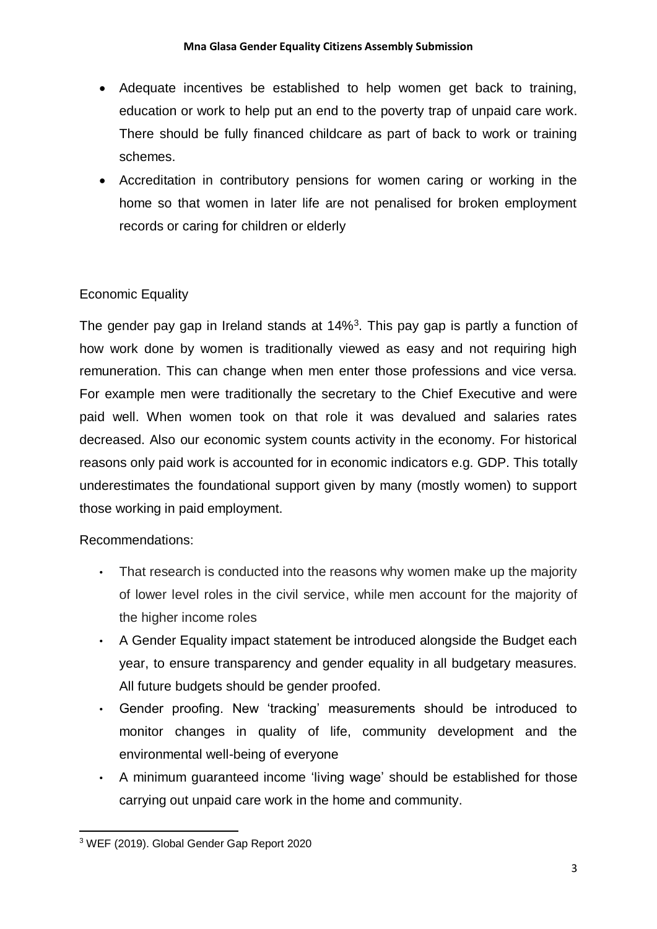- Adequate incentives be established to help women get back to training, education or work to help put an end to the poverty trap of unpaid care work. There should be fully financed childcare as part of back to work or training schemes.
- Accreditation in contributory pensions for women caring or working in the home so that women in later life are not penalised for broken employment records or caring for children or elderly

# Economic Equality

The gender pay gap in Ireland stands at 14%<sup>3</sup>. This pay gap is partly a function of how work done by women is traditionally viewed as easy and not requiring high remuneration. This can change when men enter those professions and vice versa. For example men were traditionally the secretary to the Chief Executive and were paid well. When women took on that role it was devalued and salaries rates decreased. Also our economic system counts activity in the economy. For historical reasons only paid work is accounted for in economic indicators e.g. GDP. This totally underestimates the foundational support given by many (mostly women) to support those working in paid employment.

# Recommendations:

- That research is conducted into the reasons why women make up the majority of lower level roles in the civil service, while men account for the majority of the higher income roles
- A Gender Equality impact statement be introduced alongside the Budget each year, to ensure transparency and gender equality in all budgetary measures. All future budgets should be gender proofed.
- Gender proofing. New 'tracking' measurements should be introduced to monitor changes in quality of life, community development and the environmental well-being of everyone
- A minimum guaranteed income 'living wage' should be established for those carrying out unpaid care work in the home and community.

<sup>-</sup><sup>3</sup> WEF (2019). Global Gender Gap Report 2020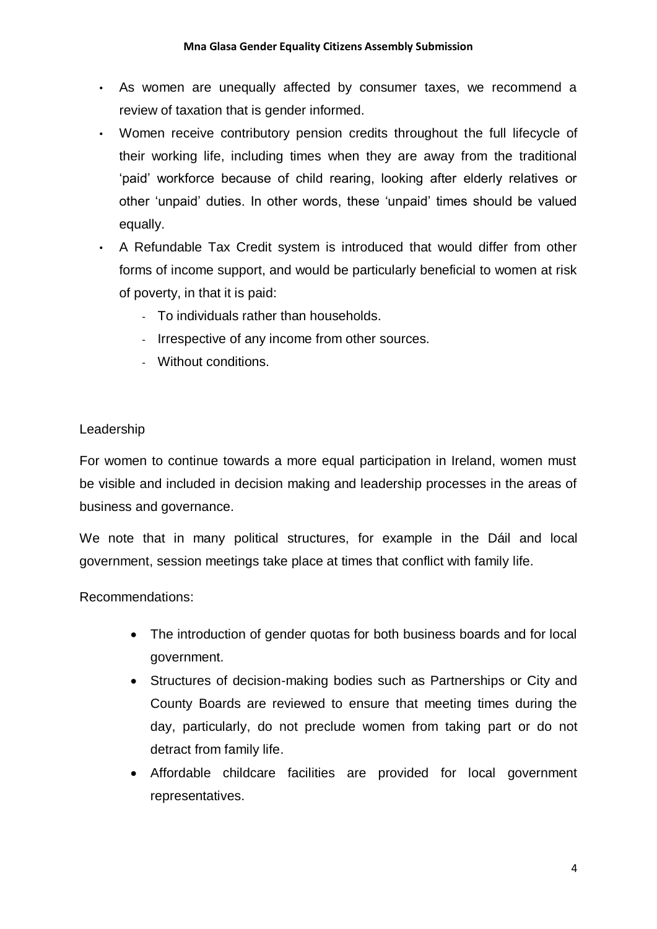- As women are unequally affected by consumer taxes, we recommend a review of taxation that is gender informed.
- Women receive contributory pension credits throughout the full lifecycle of their working life, including times when they are away from the traditional 'paid' workforce because of child rearing, looking after elderly relatives or other 'unpaid' duties. In other words, these 'unpaid' times should be valued equally.
- A Refundable Tax Credit system is introduced that would differ from other forms of income support, and would be particularly beneficial to women at risk of poverty, in that it is paid:
	- To individuals rather than households.
	- Irrespective of any income from other sources.
	- Without conditions.

# Leadership

For women to continue towards a more equal participation in Ireland, women must be visible and included in decision making and leadership processes in the areas of business and governance.

We note that in many political structures, for example in the Dáil and local government, session meetings take place at times that conflict with family life.

Recommendations:

- The introduction of gender quotas for both business boards and for local government.
- Structures of decision-making bodies such as Partnerships or City and County Boards are reviewed to ensure that meeting times during the day, particularly, do not preclude women from taking part or do not detract from family life.
- Affordable childcare facilities are provided for local government representatives.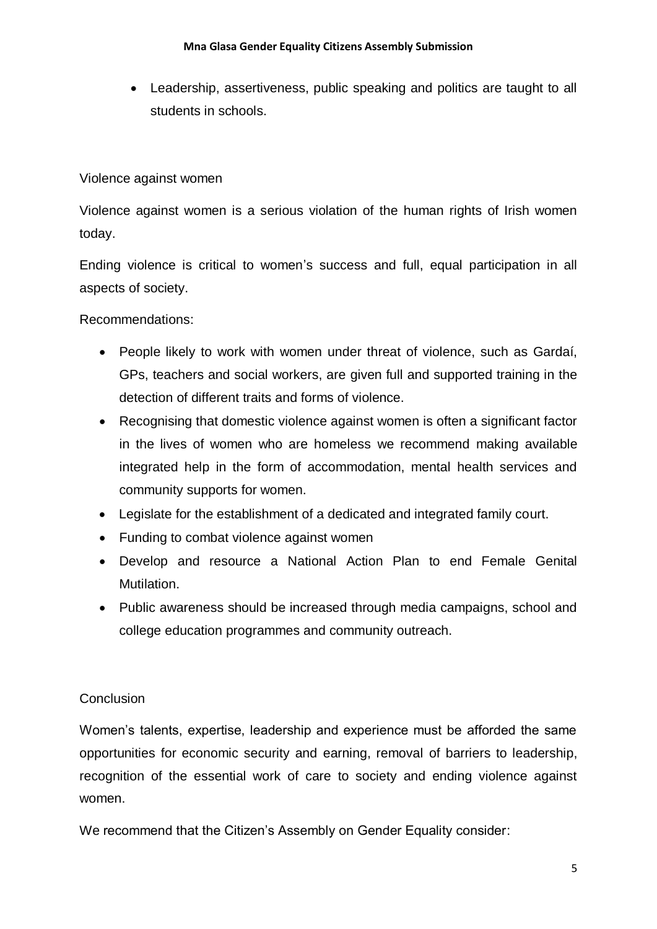• Leadership, assertiveness, public speaking and politics are taught to all students in schools.

Violence against women

Violence against women is a serious violation of the human rights of Irish women today.

Ending violence is critical to women's success and full, equal participation in all aspects of society.

Recommendations:

- People likely to work with women under threat of violence, such as Gardaí, GPs, teachers and social workers, are given full and supported training in the detection of different traits and forms of violence.
- Recognising that domestic violence against women is often a significant factor in the lives of women who are homeless we recommend making available integrated help in the form of accommodation, mental health services and community supports for women.
- Legislate for the establishment of a dedicated and integrated family court.
- Funding to combat violence against women
- Develop and resource a National Action Plan to end Female Genital Mutilation.
- Public awareness should be increased through media campaigns, school and college education programmes and community outreach.

# **Conclusion**

Women's talents, expertise, leadership and experience must be afforded the same opportunities for economic security and earning, removal of barriers to leadership, recognition of the essential work of care to society and ending violence against women.

We recommend that the Citizen's Assembly on Gender Equality consider: